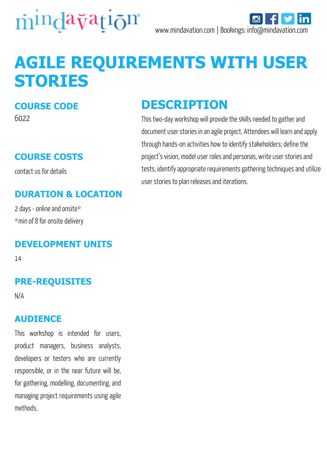

# **AGILE REQUIREMENTS WITH USER STORIES**

#### **COURSE CODE**

6022

#### **COURSE COSTS**

contact us for details

#### **DURATION & LOCATION**

2 days - online and onsite\* \*min of 8 for onsite delivery

#### **DEVELOPMENT UNITS**

14

#### **PRE-REQUISITES**

N/A

#### **AUDIENCE**

This workshop is intended for users, product managers, business analysts, developers or testers who are currently responsible, or in the near future will be, for gathering, modelling, documenting, and managing project requirements using agile methods.

### **DESCRIPTION**

This two-day workshop will provide the skills needed to gather and document user stories in an agile project. Attendees will learn and apply through hands-on activities how to identify stakeholders; define the project's vision, model user roles and personas, write user stories and tests, identify appropriate requirements gathering techniques and utilize user stories to plan releases and iterations.